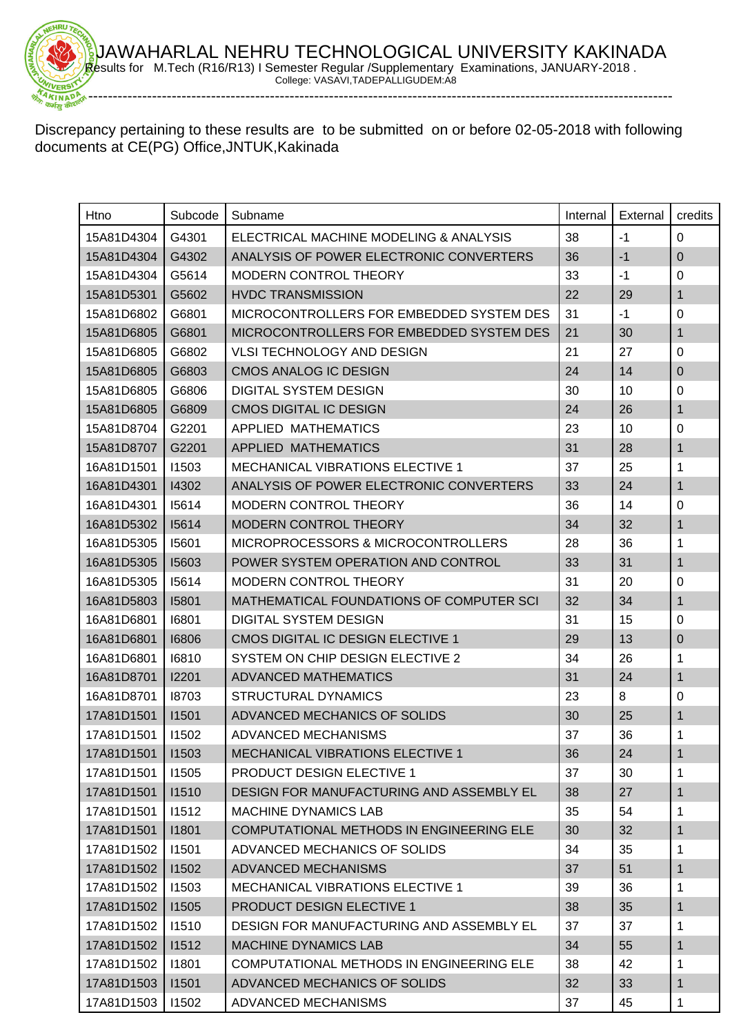

Discrepancy pertaining to these results are to be submitted on or before 02-05-2018 with following documents at CE(PG) Office,JNTUK,Kakinada

| Htno               | Subcode | Subname                                  | Internal | External | credits        |
|--------------------|---------|------------------------------------------|----------|----------|----------------|
| 15A81D4304         | G4301   | ELECTRICAL MACHINE MODELING & ANALYSIS   | 38       | $-1$     | $\Omega$       |
| 15A81D4304         | G4302   | ANALYSIS OF POWER ELECTRONIC CONVERTERS  | 36       | $-1$     | $\overline{0}$ |
| 15A81D4304         | G5614   | <b>MODERN CONTROL THEORY</b>             | 33       | $-1$     | 0              |
| 15A81D5301         | G5602   | <b>HVDC TRANSMISSION</b>                 | 22       | 29       | $\mathbf{1}$   |
| 15A81D6802         | G6801   | MICROCONTROLLERS FOR EMBEDDED SYSTEM DES | 31       | $-1$     | 0              |
| 15A81D6805         | G6801   | MICROCONTROLLERS FOR EMBEDDED SYSTEM DES | 21       | 30       | $\mathbf{1}$   |
| 15A81D6805         | G6802   | <b>VLSI TECHNOLOGY AND DESIGN</b>        | 21       | 27       | 0              |
| 15A81D6805         | G6803   | <b>CMOS ANALOG IC DESIGN</b>             | 24       | 14       | $\mathbf 0$    |
| 15A81D6805         | G6806   | <b>DIGITAL SYSTEM DESIGN</b>             | 30       | 10       | 0              |
| 15A81D6805         | G6809   | <b>CMOS DIGITAL IC DESIGN</b>            | 24       | 26       | $\mathbf{1}$   |
| 15A81D8704         | G2201   | APPLIED MATHEMATICS                      | 23       | 10       | 0              |
| 15A81D8707         | G2201   | <b>APPLIED MATHEMATICS</b>               | 31       | 28       | 1              |
| 16A81D1501         | 11503   | <b>MECHANICAL VIBRATIONS ELECTIVE 1</b>  | 37       | 25       | 1              |
| 16A81D4301         | 14302   | ANALYSIS OF POWER ELECTRONIC CONVERTERS  | 33       | 24       | $\mathbf{1}$   |
| 16A81D4301         | 15614   | <b>MODERN CONTROL THEORY</b>             | 36       | 14       | 0              |
| 16A81D5302         | 15614   | MODERN CONTROL THEORY                    | 34       | 32       | $\mathbf{1}$   |
| 16A81D5305         | 15601   | MICROPROCESSORS & MICROCONTROLLERS       | 28       | 36       | 1              |
| 16A81D5305         | 15603   | POWER SYSTEM OPERATION AND CONTROL       | 33       | 31       | $\mathbf 1$    |
| 16A81D5305         | 15614   | <b>MODERN CONTROL THEORY</b>             | 31       | 20       | 0              |
| 16A81D5803         | 15801   | MATHEMATICAL FOUNDATIONS OF COMPUTER SCI | 32       | 34       | 1              |
| 16A81D6801         | 16801   | <b>DIGITAL SYSTEM DESIGN</b>             | 31       | 15       | 0              |
| 16A81D6801         | 16806   | CMOS DIGITAL IC DESIGN ELECTIVE 1        | 29       | 13       | 0              |
| 16A81D6801         | 16810   | SYSTEM ON CHIP DESIGN ELECTIVE 2         | 34       | 26       | 1              |
| 16A81D8701         | 12201   | ADVANCED MATHEMATICS                     | 31       | 24       | 1              |
| 16A81D8701         | 18703   | <b>STRUCTURAL DYNAMICS</b>               | 23       | 8        | 0              |
| 17A81D1501         | 11501   | ADVANCED MECHANICS OF SOLIDS             | 30       | 25       | 1              |
| 17A81D1501         | 11502   | ADVANCED MECHANISMS                      | 37       | 36       | 1              |
| 17A81D1501   I1503 |         | MECHANICAL VIBRATIONS ELECTIVE 1         | 36       | 24       |                |
| 17A81D1501         | 11505   | <b>PRODUCT DESIGN ELECTIVE 1</b>         | 37       | 30       | 1              |
| 17A81D1501         | 11510   | DESIGN FOR MANUFACTURING AND ASSEMBLY EL | 38       | 27       | 1              |
| 17A81D1501         | 11512   | <b>MACHINE DYNAMICS LAB</b>              | 35       | 54       | 1              |
| 17A81D1501         | 11801   | COMPUTATIONAL METHODS IN ENGINEERING ELE | 30       | 32       | 1              |
| 17A81D1502         | 11501   | ADVANCED MECHANICS OF SOLIDS             | 34       | 35       | 1              |
| 17A81D1502         | 11502   | ADVANCED MECHANISMS                      | 37       | 51       | 1              |
| 17A81D1502         | 11503   | <b>MECHANICAL VIBRATIONS ELECTIVE 1</b>  | 39       | 36       | 1              |
| 17A81D1502         | 11505   | <b>PRODUCT DESIGN ELECTIVE 1</b>         | 38       | 35       | 1              |
| 17A81D1502         | 11510   | DESIGN FOR MANUFACTURING AND ASSEMBLY EL | 37       | 37       | 1              |
| 17A81D1502         | 11512   | <b>MACHINE DYNAMICS LAB</b>              | 34       | 55       | 1              |
| 17A81D1502         | 11801   | COMPUTATIONAL METHODS IN ENGINEERING ELE | 38       | 42       | 1              |
| 17A81D1503         | 11501   | ADVANCED MECHANICS OF SOLIDS             | 32       | 33       | 1              |
| 17A81D1503         | 11502   | ADVANCED MECHANISMS                      | 37       | 45       | 1              |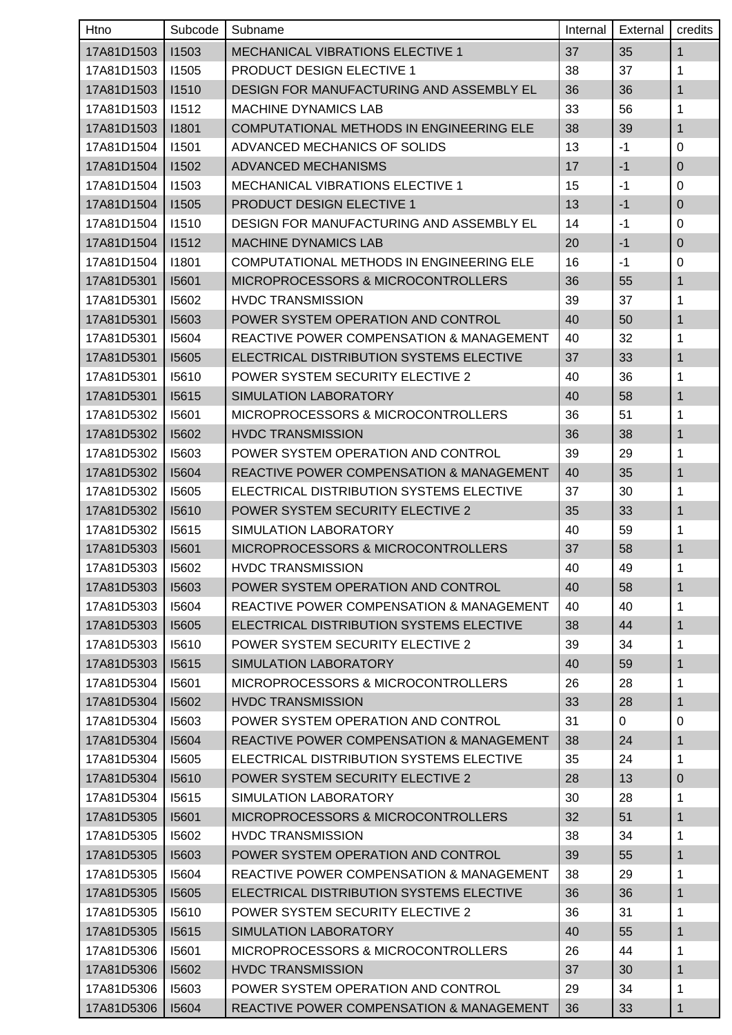| Htno               | Subcode | Subname                                             | Internal | External | credits      |
|--------------------|---------|-----------------------------------------------------|----------|----------|--------------|
| 17A81D1503         | 11503   | <b>MECHANICAL VIBRATIONS ELECTIVE 1</b>             | 37       | 35       | $\mathbf{1}$ |
| 17A81D1503         | 11505   | <b>PRODUCT DESIGN ELECTIVE 1</b>                    | 38       | 37       | 1            |
| 17A81D1503         | 11510   | DESIGN FOR MANUFACTURING AND ASSEMBLY EL            | 36       | 36       | $\mathbf{1}$ |
| 17A81D1503         | 11512   | <b>MACHINE DYNAMICS LAB</b>                         | 33       | 56       | 1            |
| 17A81D1503         | 11801   | COMPUTATIONAL METHODS IN ENGINEERING ELE            | 38       | 39       | 1            |
| 17A81D1504         | 11501   | ADVANCED MECHANICS OF SOLIDS                        | 13       | $-1$     | 0            |
| 17A81D1504         | 11502   | <b>ADVANCED MECHANISMS</b>                          | 17       | $-1$     | $\mathbf{0}$ |
| 17A81D1504         | 11503   | <b>MECHANICAL VIBRATIONS ELECTIVE 1</b>             | 15       | $-1$     | 0            |
| 17A81D1504         | 11505   | PRODUCT DESIGN ELECTIVE 1                           | 13       | $-1$     | 0            |
| 17A81D1504         | 11510   | DESIGN FOR MANUFACTURING AND ASSEMBLY EL            | 14       | $-1$     | 0            |
| 17A81D1504         | 11512   | <b>MACHINE DYNAMICS LAB</b>                         | 20       | $-1$     | 0            |
| 17A81D1504         | 11801   | COMPUTATIONAL METHODS IN ENGINEERING ELE            | 16       | $-1$     | 0            |
| 17A81D5301         | 15601   | MICROPROCESSORS & MICROCONTROLLERS                  | 36       | 55       | $\mathbf{1}$ |
| 17A81D5301         | 15602   | <b>HVDC TRANSMISSION</b>                            | 39       | 37       | 1            |
| 17A81D5301         | 15603   | POWER SYSTEM OPERATION AND CONTROL                  | 40       | 50       | 1            |
| 17A81D5301         | 15604   | <b>REACTIVE POWER COMPENSATION &amp; MANAGEMENT</b> | 40       | 32       | 1            |
| 17A81D5301         | 15605   | ELECTRICAL DISTRIBUTION SYSTEMS ELECTIVE            | 37       | 33       | 1            |
| 17A81D5301         | 15610   | POWER SYSTEM SECURITY ELECTIVE 2                    | 40       | 36       | 1            |
| 17A81D5301         | 15615   | SIMULATION LABORATORY                               | 40       | 58       | 1            |
| 17A81D5302         | 15601   | MICROPROCESSORS & MICROCONTROLLERS                  | 36       | 51       | 1            |
| 17A81D5302         | 15602   | <b>HVDC TRANSMISSION</b>                            | 36       | 38       | 1            |
| 17A81D5302         | 15603   | POWER SYSTEM OPERATION AND CONTROL                  | 39       | 29       | 1            |
| 17A81D5302         | 15604   | REACTIVE POWER COMPENSATION & MANAGEMENT            | 40       | 35       | $\mathbf{1}$ |
| 17A81D5302         | 15605   | ELECTRICAL DISTRIBUTION SYSTEMS ELECTIVE            | 37       | 30       | 1            |
| 17A81D5302         | 15610   | POWER SYSTEM SECURITY ELECTIVE 2                    | 35       | 33       | 1            |
| 17A81D5302         | 15615   | SIMULATION LABORATORY                               | 40       | 59       | 1            |
| 17A81D5303         | 15601   | MICROPROCESSORS & MICROCONTROLLERS                  | 37       | 58       | 1            |
| 17A81D5303   I5602 |         | <b>HVDC TRANSMISSION</b>                            | 40       | 49       | $\mathbf 1$  |
| 17A81D5303         | 15603   | POWER SYSTEM OPERATION AND CONTROL                  | 40       | 58       | $\mathbf{1}$ |
| 17A81D5303         | 15604   | REACTIVE POWER COMPENSATION & MANAGEMENT            | 40       | 40       | 1            |
| 17A81D5303         | 15605   | ELECTRICAL DISTRIBUTION SYSTEMS ELECTIVE            | 38       | 44       | 1            |
| 17A81D5303         | 15610   | POWER SYSTEM SECURITY ELECTIVE 2                    | 39       | 34       | 1            |
| 17A81D5303         | 15615   | SIMULATION LABORATORY                               | 40       | 59       | 1            |
| 17A81D5304         | 15601   | MICROPROCESSORS & MICROCONTROLLERS                  | 26       | 28       | 1            |
| 17A81D5304         | 15602   | <b>HVDC TRANSMISSION</b>                            | 33       | 28       | $\mathbf{1}$ |
| 17A81D5304         | 15603   | POWER SYSTEM OPERATION AND CONTROL                  | 31       | 0        | 0            |
| 17A81D5304         | 15604   | <b>REACTIVE POWER COMPENSATION &amp; MANAGEMENT</b> | 38       | 24       | 1            |
| 17A81D5304         | 15605   | ELECTRICAL DISTRIBUTION SYSTEMS ELECTIVE            | 35       | 24       | 1            |
| 17A81D5304         | 15610   | POWER SYSTEM SECURITY ELECTIVE 2                    | 28       | 13       | $\pmb{0}$    |
| 17A81D5304         | 15615   | SIMULATION LABORATORY                               | 30       | 28       | 1            |
| 17A81D5305         | 15601   | MICROPROCESSORS & MICROCONTROLLERS                  | 32       | 51       | 1            |
| 17A81D5305         | 15602   | <b>HVDC TRANSMISSION</b>                            | 38       | 34       | 1            |
| 17A81D5305         | 15603   | POWER SYSTEM OPERATION AND CONTROL                  | 39       | 55       | 1            |
| 17A81D5305         | 15604   | REACTIVE POWER COMPENSATION & MANAGEMENT            | 38       | 29       | 1            |
| 17A81D5305         | 15605   | ELECTRICAL DISTRIBUTION SYSTEMS ELECTIVE            | 36       | 36       | $\mathbf{1}$ |
| 17A81D5305         | 15610   | POWER SYSTEM SECURITY ELECTIVE 2                    | 36       | 31       | 1            |
| 17A81D5305         | 15615   | SIMULATION LABORATORY                               | 40       | 55       | 1            |
| 17A81D5306         | 15601   | MICROPROCESSORS & MICROCONTROLLERS                  | 26       | 44       | 1            |
| 17A81D5306         | 15602   | <b>HVDC TRANSMISSION</b>                            | 37       | 30       | 1            |
| 17A81D5306         | 15603   | POWER SYSTEM OPERATION AND CONTROL                  | 29       | 34       | 1            |
| 17A81D5306         | 15604   | REACTIVE POWER COMPENSATION & MANAGEMENT            | 36       | 33       | 1            |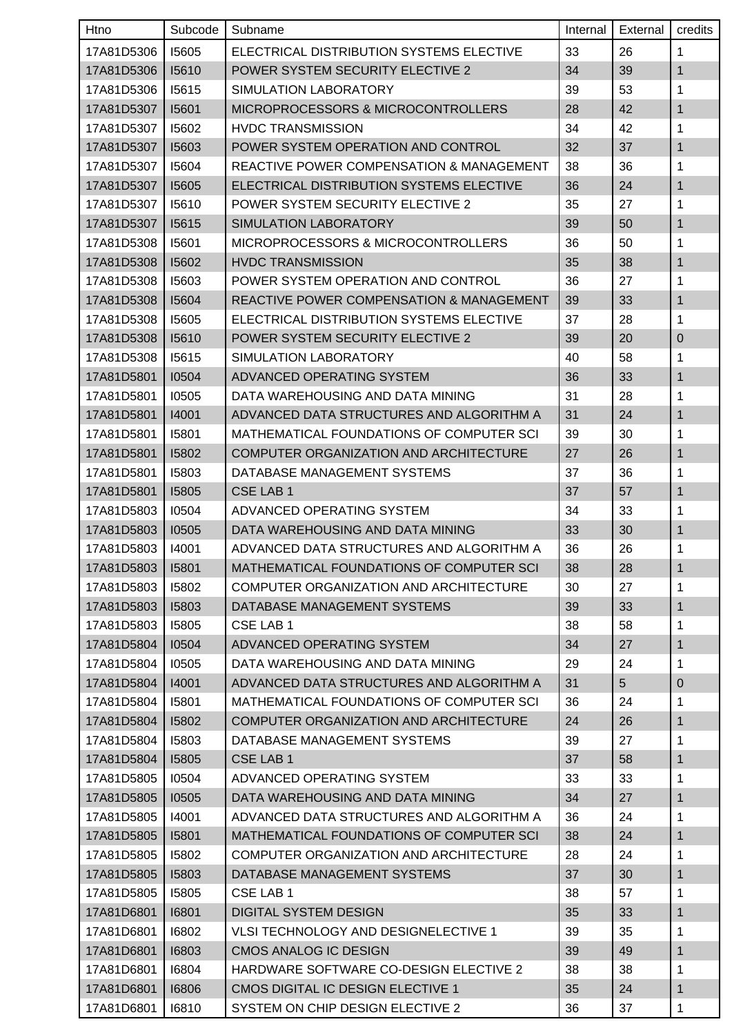| Htno       | Subcode      | Subname                                             | Internal | External       | credits      |
|------------|--------------|-----------------------------------------------------|----------|----------------|--------------|
| 17A81D5306 | 15605        | ELECTRICAL DISTRIBUTION SYSTEMS ELECTIVE            | 33       | 26             | 1            |
| 17A81D5306 | 15610        | <b>POWER SYSTEM SECURITY ELECTIVE 2</b>             | 34       | 39             | $\mathbf{1}$ |
| 17A81D5306 | 15615        | SIMULATION LABORATORY                               | 39       | 53             | 1            |
| 17A81D5307 | 15601        | MICROPROCESSORS & MICROCONTROLLERS                  | 28       | 42             | 1            |
| 17A81D5307 | 15602        | <b>HVDC TRANSMISSION</b>                            | 34       | 42             | 1            |
| 17A81D5307 | 15603        | POWER SYSTEM OPERATION AND CONTROL                  | 32       | 37             | $\mathbf 1$  |
| 17A81D5307 | 15604        | <b>REACTIVE POWER COMPENSATION &amp; MANAGEMENT</b> | 38       | 36             | 1            |
| 17A81D5307 | 15605        | ELECTRICAL DISTRIBUTION SYSTEMS ELECTIVE            | 36       | 24             | $\mathbf{1}$ |
| 17A81D5307 | 15610        | POWER SYSTEM SECURITY ELECTIVE 2                    | 35       | 27             | 1            |
| 17A81D5307 | 15615        | <b>SIMULATION LABORATORY</b>                        | 39       | 50             | 1            |
| 17A81D5308 | 15601        | MICROPROCESSORS & MICROCONTROLLERS                  | 36       | 50             | 1            |
| 17A81D5308 | 15602        | <b>HVDC TRANSMISSION</b>                            | 35       | 38             | 1            |
| 17A81D5308 | 15603        | POWER SYSTEM OPERATION AND CONTROL                  | 36       | 27             | 1            |
| 17A81D5308 | 15604        | <b>REACTIVE POWER COMPENSATION &amp; MANAGEMENT</b> | 39       | 33             | $\mathbf{1}$ |
| 17A81D5308 | <b>15605</b> | ELECTRICAL DISTRIBUTION SYSTEMS ELECTIVE            | 37       | 28             | 1            |
| 17A81D5308 | 15610        | POWER SYSTEM SECURITY ELECTIVE 2                    | 39       | 20             | $\mathbf 0$  |
| 17A81D5308 | 15615        | SIMULATION LABORATORY                               | 40       | 58             | 1            |
| 17A81D5801 | 10504        | ADVANCED OPERATING SYSTEM                           | 36       | 33             | $\mathbf{1}$ |
| 17A81D5801 | 10505        | DATA WAREHOUSING AND DATA MINING                    | 31       | 28             | 1            |
| 17A81D5801 | 14001        | ADVANCED DATA STRUCTURES AND ALGORITHM A            | 31       | 24             | 1            |
| 17A81D5801 | 15801        | MATHEMATICAL FOUNDATIONS OF COMPUTER SCI            | 39       | 30             | 1            |
| 17A81D5801 | 15802        | COMPUTER ORGANIZATION AND ARCHITECTURE              | 27       | 26             | 1            |
| 17A81D5801 | 15803        | DATABASE MANAGEMENT SYSTEMS                         | 37       | 36             | 1            |
| 17A81D5801 | 15805        | <b>CSE LAB 1</b>                                    | 37       | 57             | $\mathbf{1}$ |
| 17A81D5803 | 10504        | ADVANCED OPERATING SYSTEM                           | 34       | 33             | 1            |
| 17A81D5803 | 10505        | DATA WAREHOUSING AND DATA MINING                    | 33       | 30             | $\mathbf{1}$ |
| 17A81D5803 | 14001        | ADVANCED DATA STRUCTURES AND ALGORITHM A            | 36       | 26             | 1            |
| 17A81D5803 | 15801        | MATHEMATICAL FOUNDATIONS OF COMPUTER SCI            | 38       | 28             | 1            |
| 17A81D5803 | 15802        | COMPUTER ORGANIZATION AND ARCHITECTURE              | 30       | 27             | 1            |
| 17A81D5803 | 15803        | DATABASE MANAGEMENT SYSTEMS                         | 39       | 33             | $\mathbf{1}$ |
| 17A81D5803 | 15805        | CSE LAB 1                                           | 38       | 58             | 1            |
| 17A81D5804 | 10504        | ADVANCED OPERATING SYSTEM                           | 34       | 27             | $\mathbf 1$  |
| 17A81D5804 | 10505        | DATA WAREHOUSING AND DATA MINING                    | 29       | 24             | 1            |
| 17A81D5804 | 14001        | ADVANCED DATA STRUCTURES AND ALGORITHM A            | 31       | 5 <sup>5</sup> | $\mathbf 0$  |
| 17A81D5804 | 15801        | MATHEMATICAL FOUNDATIONS OF COMPUTER SCI            | 36       | 24             | $\mathbf 1$  |
| 17A81D5804 | 15802        | COMPUTER ORGANIZATION AND ARCHITECTURE              | 24       | 26             | $\mathbf{1}$ |
| 17A81D5804 | 15803        | DATABASE MANAGEMENT SYSTEMS                         | 39       | 27             | 1            |
| 17A81D5804 | 15805        | CSE LAB 1                                           | 37       | 58             | $\mathbf{1}$ |
| 17A81D5805 | 10504        | ADVANCED OPERATING SYSTEM                           | 33       | 33             | 1            |
| 17A81D5805 | 10505        | DATA WAREHOUSING AND DATA MINING                    | 34       | 27             | $\mathbf{1}$ |
| 17A81D5805 | 14001        | ADVANCED DATA STRUCTURES AND ALGORITHM A            | 36       | 24             | 1            |
| 17A81D5805 | 15801        | MATHEMATICAL FOUNDATIONS OF COMPUTER SCI            | 38       | 24             | $\mathbf{1}$ |
| 17A81D5805 | 15802        | COMPUTER ORGANIZATION AND ARCHITECTURE              | 28       | 24             | 1            |
| 17A81D5805 | 15803        | DATABASE MANAGEMENT SYSTEMS                         | 37       | 30             | $\mathbf 1$  |
| 17A81D5805 | 15805        | CSE LAB 1                                           | 38       | 57             | 1            |
| 17A81D6801 | 16801        | <b>DIGITAL SYSTEM DESIGN</b>                        | 35       | 33             | $\mathbf{1}$ |
| 17A81D6801 | 16802        | VLSI TECHNOLOGY AND DESIGNELECTIVE 1                | 39       | 35             | 1            |
| 17A81D6801 | 16803        | <b>CMOS ANALOG IC DESIGN</b>                        | 39       | 49             | $\mathbf{1}$ |
| 17A81D6801 | 16804        | HARDWARE SOFTWARE CO-DESIGN ELECTIVE 2              | 38       | 38             | $\mathbf 1$  |
| 17A81D6801 | 16806        | CMOS DIGITAL IC DESIGN ELECTIVE 1                   | 35       | 24             | $\mathbf{1}$ |
| 17A81D6801 | 16810        | SYSTEM ON CHIP DESIGN ELECTIVE 2                    | 36       | 37             | 1            |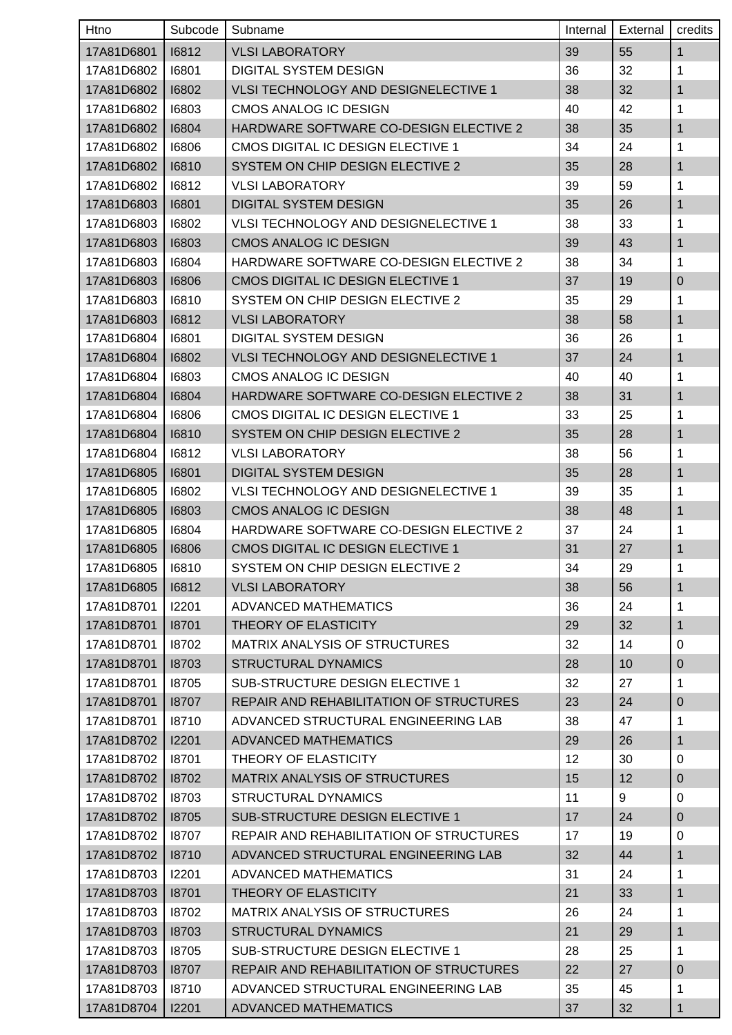| Htno               | Subcode | Subname                                     | Internal | External | credits      |
|--------------------|---------|---------------------------------------------|----------|----------|--------------|
| 17A81D6801         | 16812   | <b>VLSI LABORATORY</b>                      | 39       | 55       | $\mathbf{1}$ |
| 17A81D6802         | 16801   | <b>DIGITAL SYSTEM DESIGN</b>                | 36       | 32       | 1            |
| 17A81D6802         | 16802   | VLSI TECHNOLOGY AND DESIGNELECTIVE 1        | 38       | 32       | $\mathbf{1}$ |
| 17A81D6802         | 16803   | CMOS ANALOG IC DESIGN                       | 40       | 42       | 1            |
| 17A81D6802         | 16804   | HARDWARE SOFTWARE CO-DESIGN ELECTIVE 2      | 38       | 35       | 1            |
| 17A81D6802         | 16806   | CMOS DIGITAL IC DESIGN ELECTIVE 1           | 34       | 24       | 1            |
| 17A81D6802         | 16810   | SYSTEM ON CHIP DESIGN ELECTIVE 2            | 35       | 28       | 1            |
| 17A81D6802         | 16812   | <b>VLSI LABORATORY</b>                      | 39       | 59       | 1            |
| 17A81D6803         | 16801   | <b>DIGITAL SYSTEM DESIGN</b>                | 35       | 26       | 1            |
| 17A81D6803         | 16802   | <b>VLSI TECHNOLOGY AND DESIGNELECTIVE 1</b> | 38       | 33       | 1            |
| 17A81D6803         | 16803   | <b>CMOS ANALOG IC DESIGN</b>                | 39       | 43       | $\mathbf 1$  |
| 17A81D6803         | 16804   | HARDWARE SOFTWARE CO-DESIGN ELECTIVE 2      | 38       | 34       | 1            |
| 17A81D6803         | 16806   | CMOS DIGITAL IC DESIGN ELECTIVE 1           | 37       | 19       | $\pmb{0}$    |
| 17A81D6803         | 16810   | SYSTEM ON CHIP DESIGN ELECTIVE 2            | 35       | 29       | 1            |
| 17A81D6803         | 16812   | <b>VLSI LABORATORY</b>                      | 38       | 58       | 1            |
| 17A81D6804         | 16801   | <b>DIGITAL SYSTEM DESIGN</b>                | 36       | 26       | 1            |
| 17A81D6804         | 16802   | VLSI TECHNOLOGY AND DESIGNELECTIVE 1        | 37       | 24       | 1            |
| 17A81D6804         | 16803   | <b>CMOS ANALOG IC DESIGN</b>                | 40       | 40       | 1            |
| 17A81D6804         | 16804   | HARDWARE SOFTWARE CO-DESIGN ELECTIVE 2      | 38       | 31       | 1            |
| 17A81D6804         | 16806   | CMOS DIGITAL IC DESIGN ELECTIVE 1           | 33       | 25       | 1            |
| 17A81D6804         | 16810   | SYSTEM ON CHIP DESIGN ELECTIVE 2            | 35       | 28       | 1            |
| 17A81D6804         | 16812   | <b>VLSI LABORATORY</b>                      | 38       | 56       | 1            |
| 17A81D6805         | 16801   | <b>DIGITAL SYSTEM DESIGN</b>                | 35       | 28       | $\mathbf{1}$ |
| 17A81D6805         | 16802   | <b>VLSI TECHNOLOGY AND DESIGNELECTIVE 1</b> | 39       | 35       | 1            |
| 17A81D6805         | 16803   | <b>CMOS ANALOG IC DESIGN</b>                | 38       | 48       | 1            |
| 17A81D6805         | 16804   | HARDWARE SOFTWARE CO-DESIGN ELECTIVE 2      | 37       | 24       | 1            |
| 17A81D6805         | 16806   | CMOS DIGITAL IC DESIGN ELECTIVE 1           | 31       | 27       | 1            |
| 17A81D6805   16810 |         | SYSTEM ON CHIP DESIGN ELECTIVE 2            | 34       | 29       | $\mathbf 1$  |
| 17A81D6805         | 16812   | <b>VLSI LABORATORY</b>                      | 38       | 56       | $\mathbf{1}$ |
| 17A81D8701         | 12201   | ADVANCED MATHEMATICS                        | 36       | 24       | 1            |
| 17A81D8701         | 18701   | THEORY OF ELASTICITY                        | 29       | 32       | $\mathbf{1}$ |
| 17A81D8701         | 18702   | MATRIX ANALYSIS OF STRUCTURES               | 32       | 14       | 0            |
| 17A81D8701         | 18703   | <b>STRUCTURAL DYNAMICS</b>                  | 28       | 10       | $\mathbf 0$  |
| 17A81D8701         | 18705   | SUB-STRUCTURE DESIGN ELECTIVE 1             | 32       | 27       | 1            |
| 17A81D8701         | 18707   | REPAIR AND REHABILITATION OF STRUCTURES     | 23       | 24       | $\pmb{0}$    |
| 17A81D8701         | 18710   | ADVANCED STRUCTURAL ENGINEERING LAB         | 38       | 47       | 1            |
| 17A81D8702         | 12201   | ADVANCED MATHEMATICS                        | 29       | 26       | 1            |
| 17A81D8702         | 18701   | THEORY OF ELASTICITY                        | 12       | 30       | 0            |
| 17A81D8702         | 18702   | MATRIX ANALYSIS OF STRUCTURES               | 15       | 12       | $\pmb{0}$    |
| 17A81D8702         | 18703   | <b>STRUCTURAL DYNAMICS</b>                  | 11       | 9        | 0            |
| 17A81D8702         | 18705   | SUB-STRUCTURE DESIGN ELECTIVE 1             | 17       | 24       | $\pmb{0}$    |
| 17A81D8702         | 18707   | REPAIR AND REHABILITATION OF STRUCTURES     | 17       | 19       | 0            |
| 17A81D8702         | 18710   | ADVANCED STRUCTURAL ENGINEERING LAB         | 32       | 44       | $\mathbf{1}$ |
| 17A81D8703         | 12201   | ADVANCED MATHEMATICS                        | 31       | 24       | 1            |
| 17A81D8703         | 18701   | THEORY OF ELASTICITY                        | 21       | 33       | $\mathbf{1}$ |
| 17A81D8703         | 18702   | <b>MATRIX ANALYSIS OF STRUCTURES</b>        | 26       | 24       | 1            |
| 17A81D8703         | 18703   | <b>STRUCTURAL DYNAMICS</b>                  | 21       | 29       | 1            |
| 17A81D8703         | 18705   | SUB-STRUCTURE DESIGN ELECTIVE 1             | 28       | 25       | 1            |
| 17A81D8703         | 18707   | REPAIR AND REHABILITATION OF STRUCTURES     | 22       | 27       | 0            |
| 17A81D8703         | 18710   | ADVANCED STRUCTURAL ENGINEERING LAB         | 35       | 45       | 1            |
| 17A81D8704         | 12201   | <b>ADVANCED MATHEMATICS</b>                 | 37       | 32       | $\mathbf 1$  |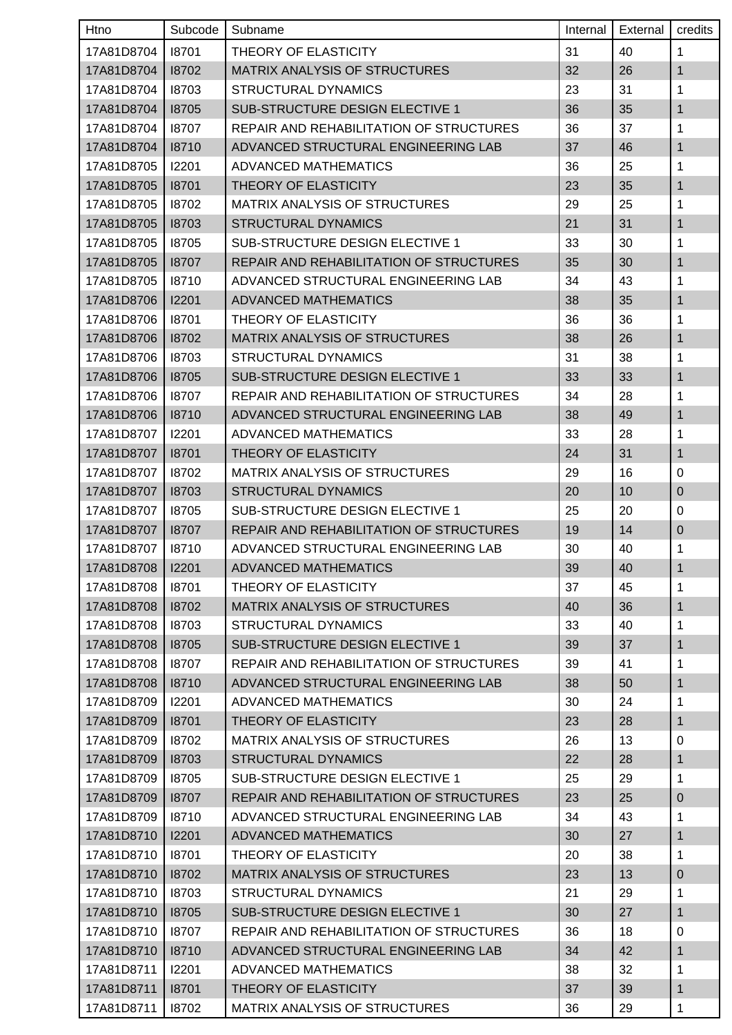| Htno       | Subcode | Subname                                        | Internal | External | credits      |
|------------|---------|------------------------------------------------|----------|----------|--------------|
| 17A81D8704 | 18701   | THEORY OF ELASTICITY                           | 31       | 40       | 1            |
| 17A81D8704 | 18702   | MATRIX ANALYSIS OF STRUCTURES                  | 32       | 26       | $\mathbf{1}$ |
| 17A81D8704 | 18703   | <b>STRUCTURAL DYNAMICS</b>                     | 23       | 31       | 1            |
| 17A81D8704 | 18705   | SUB-STRUCTURE DESIGN ELECTIVE 1                | 36       | 35       | 1            |
| 17A81D8704 | 18707   | REPAIR AND REHABILITATION OF STRUCTURES        | 36       | 37       | 1            |
| 17A81D8704 | 18710   | ADVANCED STRUCTURAL ENGINEERING LAB            | 37       | 46       | 1            |
| 17A81D8705 | 12201   | ADVANCED MATHEMATICS                           | 36       | 25       | 1            |
| 17A81D8705 | 18701   | THEORY OF ELASTICITY                           | 23       | 35       | $\mathbf{1}$ |
| 17A81D8705 | 18702   | <b>MATRIX ANALYSIS OF STRUCTURES</b>           | 29       | 25       | 1            |
| 17A81D8705 | 18703   | <b>STRUCTURAL DYNAMICS</b>                     | 21       | 31       | 1            |
| 17A81D8705 | 18705   | SUB-STRUCTURE DESIGN ELECTIVE 1                | 33       | 30       | 1            |
| 17A81D8705 | 18707   | <b>REPAIR AND REHABILITATION OF STRUCTURES</b> | 35       | 30       | 1            |
| 17A81D8705 | 18710   | ADVANCED STRUCTURAL ENGINEERING LAB            | 34       | 43       | 1            |
| 17A81D8706 | 12201   | <b>ADVANCED MATHEMATICS</b>                    | 38       | 35       | $\mathbf{1}$ |
| 17A81D8706 | 18701   | THEORY OF ELASTICITY                           | 36       | 36       | 1            |
| 17A81D8706 | 18702   | MATRIX ANALYSIS OF STRUCTURES                  | 38       | 26       | 1            |
| 17A81D8706 | 18703   | <b>STRUCTURAL DYNAMICS</b>                     | 31       | 38       | 1            |
| 17A81D8706 | 18705   | SUB-STRUCTURE DESIGN ELECTIVE 1                | 33       | 33       | $\mathbf{1}$ |
| 17A81D8706 | 18707   | REPAIR AND REHABILITATION OF STRUCTURES        | 34       | 28       | 1            |
| 17A81D8706 | 18710   | ADVANCED STRUCTURAL ENGINEERING LAB            | 38       | 49       | $\mathbf{1}$ |
| 17A81D8707 | 12201   | ADVANCED MATHEMATICS                           | 33       | 28       | 1            |
| 17A81D8707 | 18701   | THEORY OF ELASTICITY                           | 24       | 31       | 1            |
| 17A81D8707 | 18702   | MATRIX ANALYSIS OF STRUCTURES                  | 29       | 16       | 0            |
| 17A81D8707 | 18703   | <b>STRUCTURAL DYNAMICS</b>                     | 20       | 10       | $\pmb{0}$    |
| 17A81D8707 | 18705   | SUB-STRUCTURE DESIGN ELECTIVE 1                | 25       | 20       | 0            |
| 17A81D8707 | 18707   | REPAIR AND REHABILITATION OF STRUCTURES        | 19       | 14       | $\mathbf 0$  |
| 17A81D8707 | 18710   | ADVANCED STRUCTURAL ENGINEERING LAB            | 30       | 40       | $\mathbf 1$  |
| 17A81D8708 | 12201   | ADVANCED MATHEMATICS                           | 39       | 40       | $\mathbf{1}$ |
| 17A81D8708 | 18701   | THEORY OF ELASTICITY                           | 37       | 45       | $\mathbf 1$  |
| 17A81D8708 | 18702   | MATRIX ANALYSIS OF STRUCTURES                  | 40       | 36       | $\mathbf{1}$ |
| 17A81D8708 | 18703   | <b>STRUCTURAL DYNAMICS</b>                     | 33       | 40       | 1            |
| 17A81D8708 | 18705   | SUB-STRUCTURE DESIGN ELECTIVE 1                | 39       | 37       | $\mathbf 1$  |
| 17A81D8708 | 18707   | REPAIR AND REHABILITATION OF STRUCTURES        | 39       | 41       | 1            |
| 17A81D8708 | 18710   | ADVANCED STRUCTURAL ENGINEERING LAB            | 38       | 50       | 1            |
| 17A81D8709 | 12201   | <b>ADVANCED MATHEMATICS</b>                    | 30       | 24       | 1            |
| 17A81D8709 | 18701   | THEORY OF ELASTICITY                           | 23       | 28       | $\mathbf 1$  |
| 17A81D8709 | 18702   | <b>MATRIX ANALYSIS OF STRUCTURES</b>           | 26       | 13       | $\mathbf 0$  |
| 17A81D8709 | 18703   | <b>STRUCTURAL DYNAMICS</b>                     | 22       | 28       | $\mathbf{1}$ |
| 17A81D8709 | 18705   | SUB-STRUCTURE DESIGN ELECTIVE 1                | 25       | 29       | $\mathbf 1$  |
| 17A81D8709 | 18707   | REPAIR AND REHABILITATION OF STRUCTURES        | 23       | 25       | $\pmb{0}$    |
| 17A81D8709 | 18710   | ADVANCED STRUCTURAL ENGINEERING LAB            | 34       | 43       | 1            |
| 17A81D8710 | 12201   | <b>ADVANCED MATHEMATICS</b>                    | 30       | 27       | $\mathbf 1$  |
| 17A81D8710 | 18701   | THEORY OF ELASTICITY                           | 20       | 38       | 1            |
| 17A81D8710 | 18702   | <b>MATRIX ANALYSIS OF STRUCTURES</b>           | 23       | 13       | $\pmb{0}$    |
| 17A81D8710 | 18703   | <b>STRUCTURAL DYNAMICS</b>                     | 21       | 29       | 1            |
| 17A81D8710 | 18705   | SUB-STRUCTURE DESIGN ELECTIVE 1                | 30       | 27       | 1            |
| 17A81D8710 | 18707   | REPAIR AND REHABILITATION OF STRUCTURES        | 36       | 18       | $\mathbf 0$  |
| 17A81D8710 | 18710   | ADVANCED STRUCTURAL ENGINEERING LAB            | 34       | 42       | $\mathbf 1$  |
| 17A81D8711 | 12201   | <b>ADVANCED MATHEMATICS</b>                    | 38       | 32       | $\mathbf 1$  |
| 17A81D8711 | 18701   | THEORY OF ELASTICITY                           | 37       | 39       | $\mathbf{1}$ |
| 17A81D8711 | 18702   | <b>MATRIX ANALYSIS OF STRUCTURES</b>           | 36       | 29       | 1            |